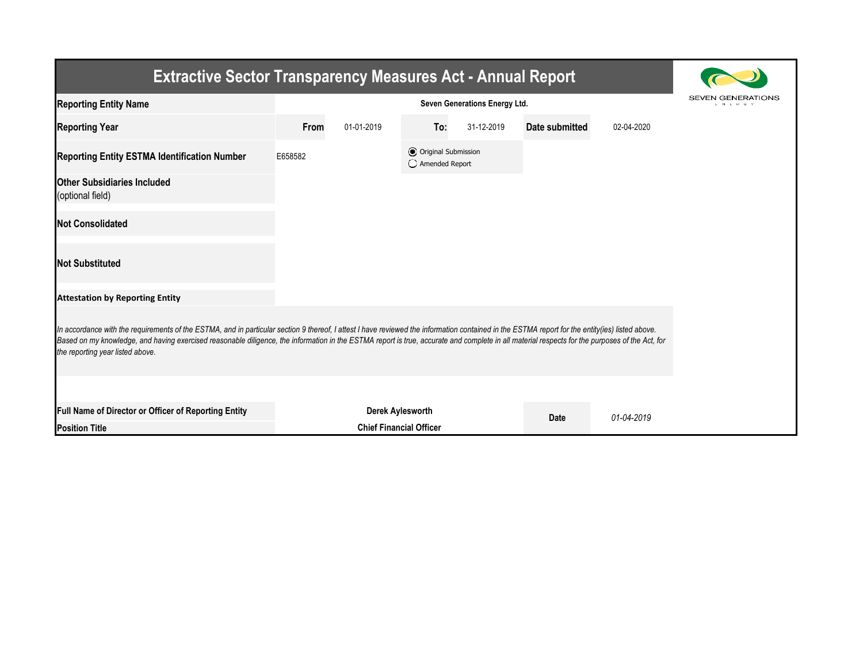| <b>Extractive Sector Transparency Measures Act - Annual Report</b>                                                                                                                                                                                                                                                                                                                                                                     |                                                    |            |                                                  |            |                |            |  |  |                                          |  |
|----------------------------------------------------------------------------------------------------------------------------------------------------------------------------------------------------------------------------------------------------------------------------------------------------------------------------------------------------------------------------------------------------------------------------------------|----------------------------------------------------|------------|--------------------------------------------------|------------|----------------|------------|--|--|------------------------------------------|--|
| <b>Reporting Entity Name</b>                                                                                                                                                                                                                                                                                                                                                                                                           | Seven Generations Energy Ltd.                      |            |                                                  |            |                |            |  |  | <b>SEVEN GENERATIONS</b><br><b>INIRG</b> |  |
| <b>Reporting Year</b>                                                                                                                                                                                                                                                                                                                                                                                                                  | From                                               | 01-01-2019 | To:                                              | 31-12-2019 | Date submitted | 02-04-2020 |  |  |                                          |  |
| <b>Reporting Entity ESTMA Identification Number</b>                                                                                                                                                                                                                                                                                                                                                                                    | E658582                                            |            | <b>●</b> Original Submission<br>◯ Amended Report |            |                |            |  |  |                                          |  |
| <b>Other Subsidiaries Included</b><br>(optional field)                                                                                                                                                                                                                                                                                                                                                                                 |                                                    |            |                                                  |            |                |            |  |  |                                          |  |
| <b>Not Consolidated</b>                                                                                                                                                                                                                                                                                                                                                                                                                |                                                    |            |                                                  |            |                |            |  |  |                                          |  |
| <b>Not Substituted</b>                                                                                                                                                                                                                                                                                                                                                                                                                 |                                                    |            |                                                  |            |                |            |  |  |                                          |  |
| <b>Attestation by Reporting Entity</b>                                                                                                                                                                                                                                                                                                                                                                                                 |                                                    |            |                                                  |            |                |            |  |  |                                          |  |
| In accordance with the requirements of the ESTMA, and in particular section 9 thereof, I attest I have reviewed the information contained in the ESTMA report for the entity (ies) listed above.<br>Based on my knowledge, and having exercised reasonable diligence, the information in the ESTMA report is true, accurate and complete in all material respects for the purposes of the Act, for<br>the reporting year listed above. |                                                    |            |                                                  |            |                |            |  |  |                                          |  |
|                                                                                                                                                                                                                                                                                                                                                                                                                                        |                                                    |            |                                                  |            |                |            |  |  |                                          |  |
| Full Name of Director or Officer of Reporting Entity<br><b>Position Title</b>                                                                                                                                                                                                                                                                                                                                                          | Derek Aylesworth<br><b>Chief Financial Officer</b> |            |                                                  |            | <b>Date</b>    | 01-04-2019 |  |  |                                          |  |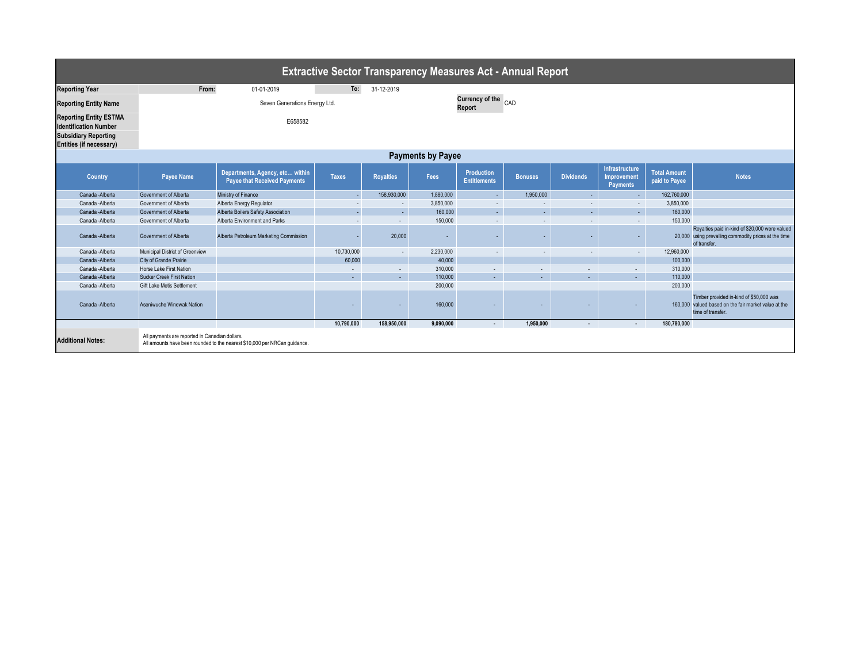| <b>Extractive Sector Transparency Measures Act - Annual Report</b>                                                      |                                                                       |                                                                           |              |                  |           |                                   |                          |                  |                                                  |                                      |                                                                                                                        |  |
|-------------------------------------------------------------------------------------------------------------------------|-----------------------------------------------------------------------|---------------------------------------------------------------------------|--------------|------------------|-----------|-----------------------------------|--------------------------|------------------|--------------------------------------------------|--------------------------------------|------------------------------------------------------------------------------------------------------------------------|--|
| <b>Reporting Year</b>                                                                                                   | From:                                                                 | 01-01-2019                                                                | To:          | 31-12-2019       |           |                                   |                          |                  |                                                  |                                      |                                                                                                                        |  |
|                                                                                                                         |                                                                       |                                                                           |              |                  |           |                                   |                          |                  |                                                  |                                      |                                                                                                                        |  |
| <b>Reporting Entity Name</b>                                                                                            | Currency of the CAD<br>Seven Generations Energy Ltd.<br><b>Report</b> |                                                                           |              |                  |           |                                   |                          |                  |                                                  |                                      |                                                                                                                        |  |
| <b>Reporting Entity ESTMA</b><br><b>Identification Number</b><br><b>Subsidiary Reporting</b><br>Entities (if necessary) | E658582                                                               |                                                                           |              |                  |           |                                   |                          |                  |                                                  |                                      |                                                                                                                        |  |
| <b>Payments by Payee</b>                                                                                                |                                                                       |                                                                           |              |                  |           |                                   |                          |                  |                                                  |                                      |                                                                                                                        |  |
| Country                                                                                                                 | <b>Payee Name</b>                                                     | Departments, Agency, etc within<br><b>Payee that Received Payments</b>    | <b>Taxes</b> | <b>Royalties</b> | Fees      | Production<br><b>Entitlements</b> | <b>Bonuses</b>           | <b>Dividends</b> | Infrastructure<br>Improvement<br><b>Payments</b> | <b>Total Amount</b><br>paid to Payee | <b>Notes</b>                                                                                                           |  |
| Canada - Alberta                                                                                                        | Government of Alberta                                                 | Ministry of Finance                                                       |              | 158,930,000      | 1.880.000 | $\sim$                            | 1.950.000                | $\sim$           | $\sim$                                           | 162,760,000                          |                                                                                                                        |  |
| Canada - Alberta                                                                                                        | Government of Alberta                                                 | Alberta Energy Regulator                                                  | $\sim$       | $\sim$           | 3.850.000 | $\sim$                            | $\overline{\phantom{a}}$ | $\sim$           | $\sim$                                           | 3.850.000                            |                                                                                                                        |  |
| Canada - Alberta                                                                                                        | Government of Alberta                                                 | Alberta Boilers Safety Association                                        |              | $\sim$           | 160,000   | a.                                | $\sim$                   | ÷.               | ÷.                                               | 160,000                              |                                                                                                                        |  |
| Canada -Alberta                                                                                                         | Government of Alberta                                                 | Alberta Environment and Parks                                             | $\sim$       | $\sim$           | 150,000   | $\sim$                            | $\overline{\phantom{a}}$ | $\sim$           | $\sim$                                           | 150,000                              |                                                                                                                        |  |
| Canada - Alberta                                                                                                        | Government of Alberta                                                 | Alberta Petroleum Marketing Commission                                    |              | 20,000           |           | $\overline{\phantom{0}}$          |                          | ÷                |                                                  |                                      | Royalties paid in-kind of \$20,000 were valued<br>20,000 using prevailing commodity prices at the time<br>of transfer. |  |
| Canada -Alberta                                                                                                         | Municipal District of Greenview                                       |                                                                           | 10,730,000   | $\sim$           | 2,230,000 | $\sim$                            | $\overline{\phantom{a}}$ | ٠.               | $\sim$                                           | 12,960,000                           |                                                                                                                        |  |
| Canada - Alberta                                                                                                        | City of Grande Prairie                                                |                                                                           | 60,000       |                  | 40,000    |                                   |                          |                  |                                                  | 100,000                              |                                                                                                                        |  |
| Canada - Alberta                                                                                                        | Horse Lake First Nation                                               |                                                                           | $\sim$       | $\sim$           | 310,000   | $\sim$                            | $\overline{\phantom{a}}$ | $\sim$           | $\sim$                                           | 310,000                              |                                                                                                                        |  |
| Canada - Alberta                                                                                                        | <b>Sucker Creek First Nation</b>                                      |                                                                           | $\sim$       | <b>Section</b>   | 110,000   | $\sim$                            | $\mathbf{r}$             | ×.               | ÷.                                               | 110,000                              |                                                                                                                        |  |
| Canada -Alberta                                                                                                         | Gift Lake Metis Settlement                                            |                                                                           |              |                  | 200,000   |                                   |                          |                  |                                                  | 200,000                              |                                                                                                                        |  |
| Canada - Alberta                                                                                                        | Aseniwuche Winewak Nation                                             |                                                                           |              |                  | 160,000   |                                   |                          |                  |                                                  |                                      | Timber provided in-kind of \$50,000 was<br>160,000 valued based on the fair market value at the<br>time of transfer.   |  |
|                                                                                                                         |                                                                       |                                                                           | 10,790,000   | 158.950.000      | 9.090.000 | $\cdot$                           | 1.950.000                | $\sim$           | $\sim$                                           | 180.780.000                          |                                                                                                                        |  |
| <b>Additional Notes:</b>                                                                                                | All payments are reported in Canadian dollars.                        | All amounts have been rounded to the nearest \$10,000 per NRCan guidance. |              |                  |           |                                   |                          |                  |                                                  |                                      |                                                                                                                        |  |